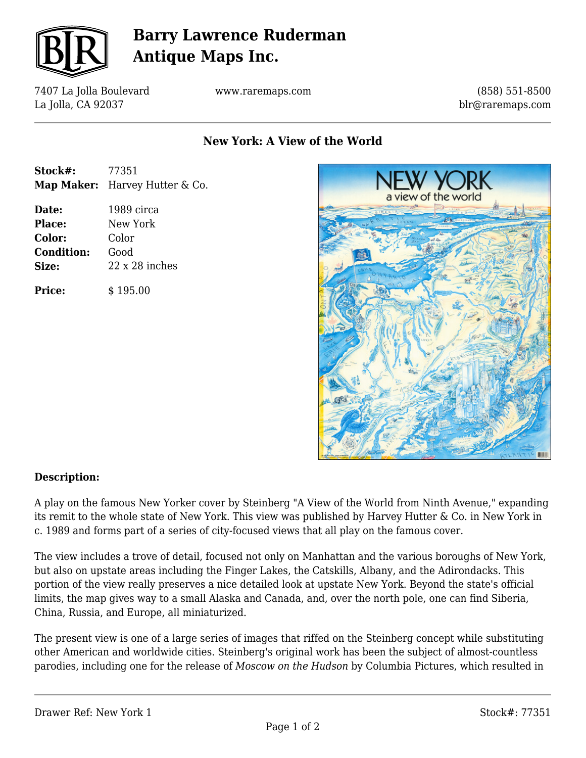

## **Barry Lawrence Ruderman Antique Maps Inc.**

7407 La Jolla Boulevard La Jolla, CA 92037

www.raremaps.com

(858) 551-8500 blr@raremaps.com

### **New York: A View of the World**

| Stock#: | 77351                          |
|---------|--------------------------------|
|         | Map Maker: Harvey Hutter & Co. |

**Date:** 1989 circa **Place:** New York **Color:** Color **Condition:** Good **Size:** 22 x 28 inches

**Price:**  $\qquad$  \$ 195.00



#### **Description:**

A play on the famous New Yorker cover by Steinberg "A View of the World from Ninth Avenue," expanding its remit to the whole state of New York. This view was published by Harvey Hutter & Co. in New York in c. 1989 and forms part of a series of city-focused views that all play on the famous cover.

The view includes a trove of detail, focused not only on Manhattan and the various boroughs of New York, but also on upstate areas including the Finger Lakes, the Catskills, Albany, and the Adirondacks. This portion of the view really preserves a nice detailed look at upstate New York. Beyond the state's official limits, the map gives way to a small Alaska and Canada, and, over the north pole, one can find Siberia, China, Russia, and Europe, all miniaturized.

The present view is one of a large series of images that riffed on the Steinberg concept while substituting other American and worldwide cities. Steinberg's original work has been the subject of almost-countless parodies, including one for the release of *Moscow on the Hudson* by Columbia Pictures, which resulted in